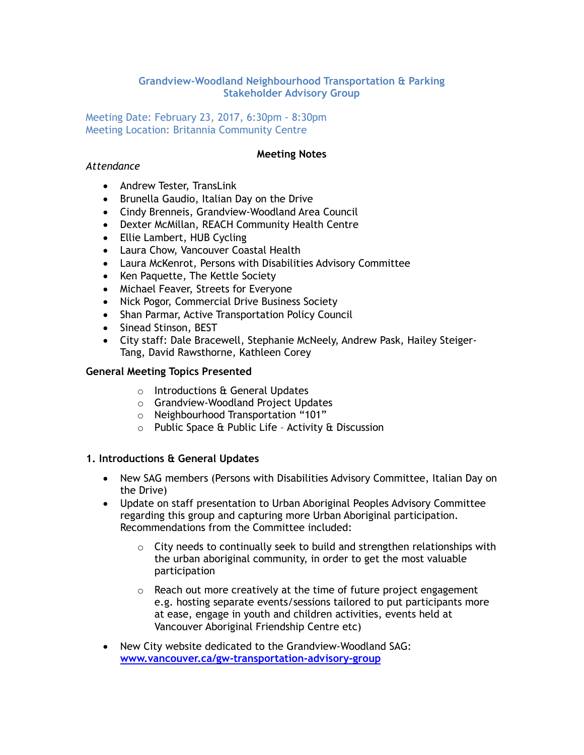## **Grandview-Woodland Neighbourhood Transportation & Parking Stakeholder Advisory Group**

Meeting Date: February 23, 2017, 6:30pm - 8:30pm Meeting Location: Britannia Community Centre

#### **Meeting Notes**

#### *Attendance*

- Andrew Tester, TransLink
- Brunella Gaudio, Italian Day on the Drive
- Cindy Brenneis, Grandview-Woodland Area Council
- Dexter McMillan, REACH Community Health Centre
- Ellie Lambert, HUB Cycling
- Laura Chow, Vancouver Coastal Health
- Laura McKenrot, Persons with Disabilities Advisory Committee
- Ken Paquette, The Kettle Society
- Michael Feaver, Streets for Everyone
- Nick Pogor, Commercial Drive Business Society
- Shan Parmar, Active Transportation Policy Council
- Sinead Stinson, BEST
- City staff: Dale Bracewell, Stephanie McNeely, Andrew Pask, Hailey Steiger-Tang, David Rawsthorne, Kathleen Corey

## **General Meeting Topics Presented**

- o Introductions & General Updates
- o Grandview-Woodland Project Updates
- o Neighbourhood Transportation "101"
- o Public Space & Public Life Activity & Discussion

## **1. Introductions & General Updates**

- New SAG members (Persons with Disabilities Advisory Committee, Italian Day on the Drive)
- Update on staff presentation to Urban Aboriginal Peoples Advisory Committee regarding this group and capturing more Urban Aboriginal participation. Recommendations from the Committee included:
	- $\circ$  City needs to continually seek to build and strengthen relationships with the urban aboriginal community, in order to get the most valuable participation
	- o Reach out more creatively at the time of future project engagement e.g. hosting separate events/sessions tailored to put participants more at ease, engage in youth and children activities, events held at Vancouver Aboriginal Friendship Centre etc)
- New City website dedicated to the Grandview-Woodland SAG: **[www.vancouver.ca/gw-transportation-advisory-group](http://www.vancouver.ca/gw-transportation-advisory-group)**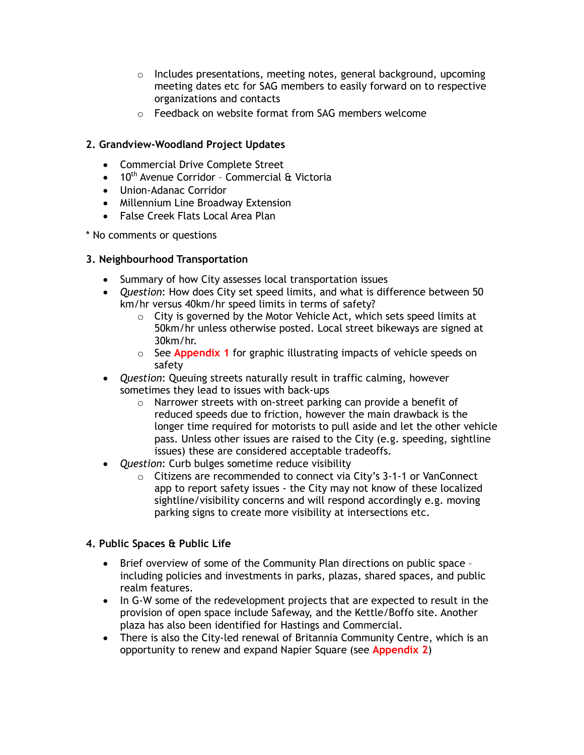- o Includes presentations, meeting notes, general background, upcoming meeting dates etc for SAG members to easily forward on to respective organizations and contacts
- o Feedback on website format from SAG members welcome

## **2. Grandview-Woodland Project Updates**

- Commercial Drive Complete Street
- $\bullet$  10<sup>th</sup> Avenue Corridor Commercial & Victoria
- Union-Adanac Corridor
- Millennium Line Broadway Extension
- False Creek Flats Local Area Plan

\* No comments or questions

## **3. Neighbourhood Transportation**

- Summary of how City assesses local transportation issues
- *Question*: How does City set speed limits, and what is difference between 50 km/hr versus 40km/hr speed limits in terms of safety?
	- $\circ$  City is governed by the Motor Vehicle Act, which sets speed limits at 50km/hr unless otherwise posted. Local street bikeways are signed at 30km/hr.
	- o See **Appendix 1** for graphic illustrating impacts of vehicle speeds on safety
- *Question*: Queuing streets naturally result in traffic calming, however sometimes they lead to issues with back-ups
	- o Narrower streets with on-street parking can provide a benefit of reduced speeds due to friction, however the main drawback is the longer time required for motorists to pull aside and let the other vehicle pass. Unless other issues are raised to the City (e.g. speeding, sightline issues) these are considered acceptable tradeoffs.
- *Question*: Curb bulges sometime reduce visibility
	- o Citizens are recommended to connect via City's 3-1-1 or VanConnect app to report safety issues - the City may not know of these localized sightline/visibility concerns and will respond accordingly e.g. moving parking signs to create more visibility at intersections etc.

## **4. Public Spaces & Public Life**

- Brief overview of some of the Community Plan directions on public space including policies and investments in parks, plazas, shared spaces, and public realm features.
- In G-W some of the redevelopment projects that are expected to result in the provision of open space include Safeway, and the Kettle/Boffo site. Another plaza has also been identified for Hastings and Commercial.
- There is also the City-led renewal of Britannia Community Centre, which is an opportunity to renew and expand Napier Square (see **Appendix 2**)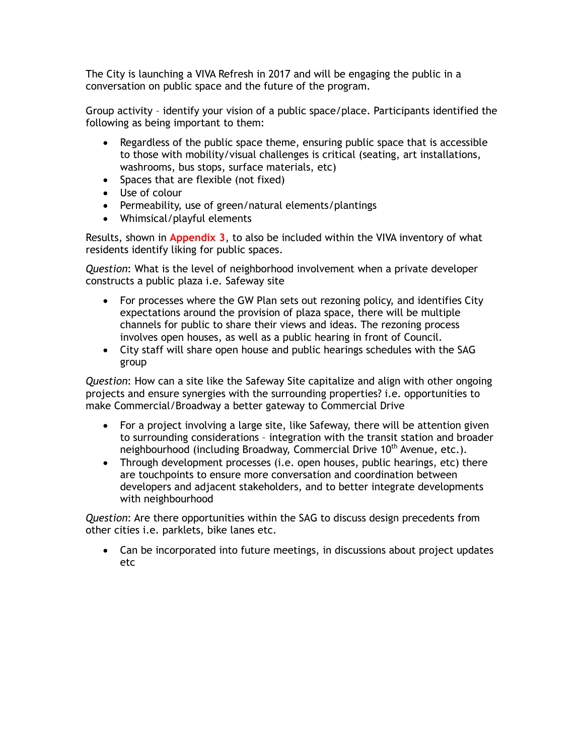The City is launching a VIVA Refresh in 2017 and will be engaging the public in a conversation on public space and the future of the program.

Group activity – identify your vision of a public space/place. Participants identified the following as being important to them:

- Regardless of the public space theme, ensuring public space that is accessible to those with mobility/visual challenges is critical (seating, art installations, washrooms, bus stops, surface materials, etc)
- Spaces that are flexible (not fixed)
- Use of colour
- Permeability, use of green/natural elements/plantings
- Whimsical/playful elements

Results, shown in **Appendix 3**, to also be included within the VIVA inventory of what residents identify liking for public spaces.

*Question*: What is the level of neighborhood involvement when a private developer constructs a public plaza i.e. Safeway site

- For processes where the GW Plan sets out rezoning policy, and identifies City expectations around the provision of plaza space, there will be multiple channels for public to share their views and ideas. The rezoning process involves open houses, as well as a public hearing in front of Council.
- City staff will share open house and public hearings schedules with the SAG group

*Question*: How can a site like the Safeway Site capitalize and align with other ongoing projects and ensure synergies with the surrounding properties? i.e. opportunities to make Commercial/Broadway a better gateway to Commercial Drive

- For a project involving a large site, like Safeway, there will be attention given to surrounding considerations – integration with the transit station and broader neighbourhood (including Broadway, Commercial Drive 10<sup>th</sup> Avenue, etc.).
- Through development processes (i.e. open houses, public hearings, etc) there are touchpoints to ensure more conversation and coordination between developers and adjacent stakeholders, and to better integrate developments with neighbourhood

*Question*: Are there opportunities within the SAG to discuss design precedents from other cities i.e. parklets, bike lanes etc.

• Can be incorporated into future meetings, in discussions about project updates etc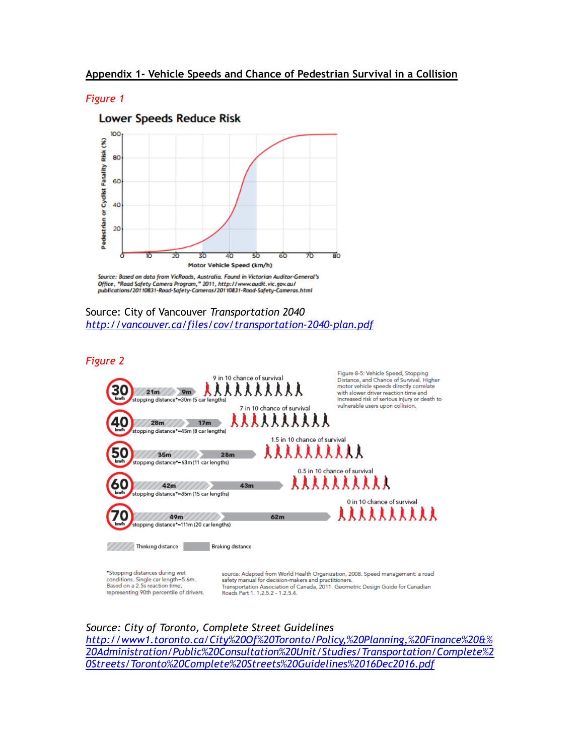#### *Figure 1*



Source: Based on data from VicRoads, Australia. Found in Victorian Auditor-General's Office, "Road Safety Camera Program," 2011, http://www.audit.vic.gov.au/<br>publications/20110831-Road-Safety-Cameras/20110831-Road-Safety-Cameras.html

#### Source: City of Vancouver *Transportation 2040 <http://vancouver.ca/files/cov/transportation-2040-plan.pdf>*

*Figure 2*



conditions. Single car length=5.6m. Based on a 2.5s reaction time, representing 90th percentile of drivers. safety manual for decision-makers and practitioners. Transportation Association of Canada, 2011. Geometric Design Guide for Canadian Roads Part 1, 1, 2, 5, 2 - 1, 2, 5, 4

#### *Source: City of Toronto, Complete Street Guidelines*

*[http://www1.toronto.ca/City%20Of%20Toronto/Policy,%20Planning,%20Finance%20&%](http://www1.toronto.ca/City%20Of%20Toronto/Policy,%20Planning,%20Finance%20&%20Administration/Public%20Consultation%20Unit/Studies/Transportation/Complete%20Streets/Toronto%20Complete%20Streets%20Guidelines%2016Dec2016.pdf) [20Administration/Public%20Consultation%20Unit/Studies/Transportation/Complete%2](http://www1.toronto.ca/City%20Of%20Toronto/Policy,%20Planning,%20Finance%20&%20Administration/Public%20Consultation%20Unit/Studies/Transportation/Complete%20Streets/Toronto%20Complete%20Streets%20Guidelines%2016Dec2016.pdf) [0Streets/Toronto%20Complete%20Streets%20Guidelines%2016Dec2016.pdf](http://www1.toronto.ca/City%20Of%20Toronto/Policy,%20Planning,%20Finance%20&%20Administration/Public%20Consultation%20Unit/Studies/Transportation/Complete%20Streets/Toronto%20Complete%20Streets%20Guidelines%2016Dec2016.pdf)*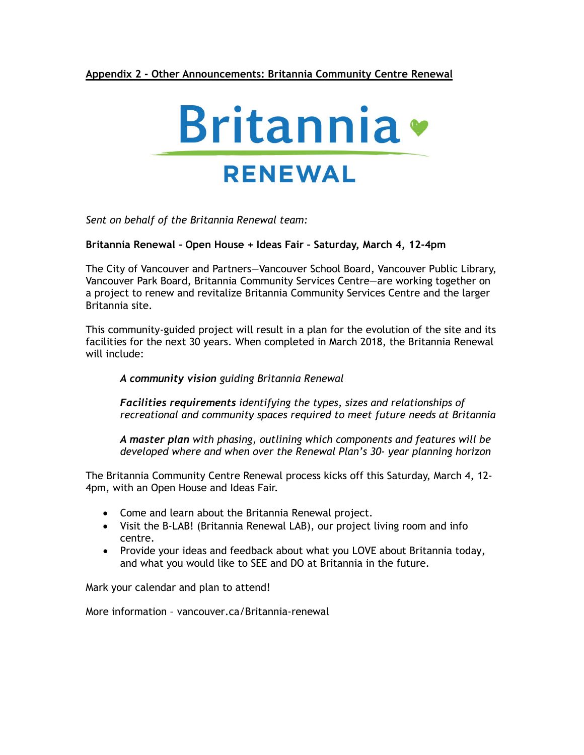## **Appendix 2 - Other Announcements: Britannia Community Centre Renewal**



*Sent on behalf of the Britannia Renewal team:*

#### **Britannia Renewal – Open House + Ideas Fair – Saturday, March 4, 12-4pm**

The City of Vancouver and Partners—Vancouver School Board, Vancouver Public Library, Vancouver Park Board, Britannia Community Services Centre—are working together on a project to renew and revitalize Britannia Community Services Centre and the larger Britannia site.

This community-guided project will result in a plan for the evolution of the site and its facilities for the next 30 years. When completed in March 2018, the Britannia Renewal will include:

#### *A community vision guiding Britannia Renewal*

*Facilities requirements identifying the types, sizes and relationships of recreational and community spaces required to meet future needs at Britannia* 

*A master plan with phasing, outlining which components and features will be developed where and when over the Renewal Plan's 30- year planning horizon* 

The Britannia Community Centre Renewal process kicks off this Saturday, March 4, 12- 4pm, with an Open House and Ideas Fair.

- Come and learn about the Britannia Renewal project.
- Visit the B-LAB! (Britannia Renewal LAB), our project living room and info centre.
- Provide your ideas and feedback about what you LOVE about Britannia today, and what you would like to SEE and DO at Britannia in the future.

Mark your calendar and plan to attend!

More information – vancouver.ca/Britannia-renewal